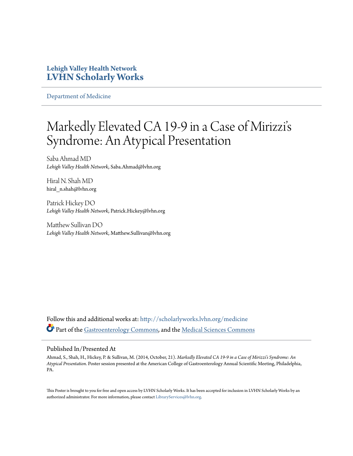## **Lehigh Valley Health Network [LVHN Scholarly Works](http://scholarlyworks.lvhn.org?utm_source=scholarlyworks.lvhn.org%2Fmedicine%2F502&utm_medium=PDF&utm_campaign=PDFCoverPages)**

[Department of Medicine](http://scholarlyworks.lvhn.org/medicine?utm_source=scholarlyworks.lvhn.org%2Fmedicine%2F502&utm_medium=PDF&utm_campaign=PDFCoverPages)

## Markedly Elevated CA 19-9 in a Case of Mirizzi' s Syndrome: An Atypical Presentation

Saba Ahmad MD *Lehigh Valley Health Network*, Saba.Ahmad@lvhn.org

Hiral N. Shah MD hiral\_n.shah@lvhn.org

Patrick Hickey DO *Lehigh Valley Health Network*, Patrick.Hickey@lvhn.org

Matthew Sullivan DO *Lehigh Valley Health Network*, Matthew.Sullivan@lvhn.org

Follow this and additional works at: [http://scholarlyworks.lvhn.org/medicine](http://scholarlyworks.lvhn.org/medicine?utm_source=scholarlyworks.lvhn.org%2Fmedicine%2F502&utm_medium=PDF&utm_campaign=PDFCoverPages) Part of the [Gastroenterology Commons,](http://network.bepress.com/hgg/discipline/687?utm_source=scholarlyworks.lvhn.org%2Fmedicine%2F502&utm_medium=PDF&utm_campaign=PDFCoverPages) and the [Medical Sciences Commons](http://network.bepress.com/hgg/discipline/664?utm_source=scholarlyworks.lvhn.org%2Fmedicine%2F502&utm_medium=PDF&utm_campaign=PDFCoverPages)

## Published In/Presented At

Ahmad, S., Shah, H., Hickey, P. & Sullivan, M. (2014, October, 21). *Markedly Elevated CA 19-9 in a Case of Mirizzi's Syndrome: An Atypical Presentation*. Poster session presented at the American College of Gastroenterology Annual Scientific Meeting, Philadelphia, PA.

This Poster is brought to you for free and open access by LVHN Scholarly Works. It has been accepted for inclusion in LVHN Scholarly Works by an authorized administrator. For more information, please contact [LibraryServices@lvhn.org.](mailto:LibraryServices@lvhn.org)